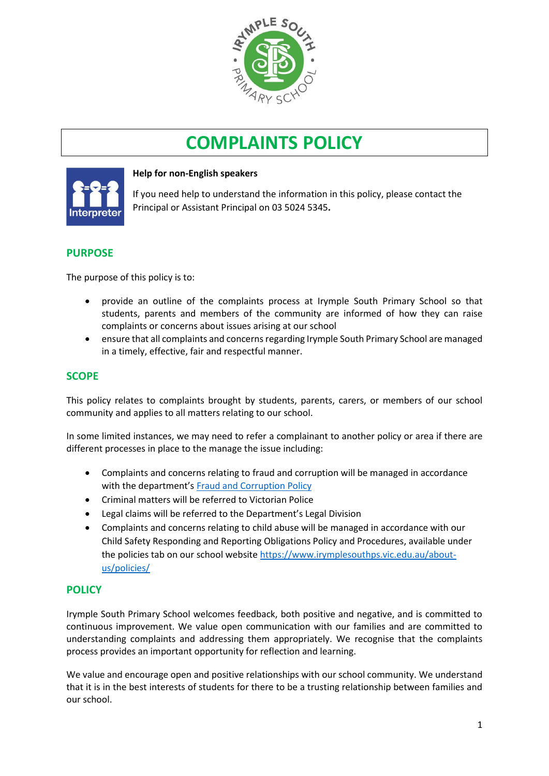

# **COMPLAINTS POLICY**



## **Help for non-English speakers**

If you need help to understand the information in this policy, please contact the Principal or Assistant Principal on 03 5024 5345.

# **PURPOSE**

The purpose of this policy is to:

- provide an outline of the complaints process at Irymple South Primary School so that students, parents and members of the community are informed of how they can raise complaints or concerns about issues arising at our school
- ensure that all complaints and concerns regarding Irymple South Primary School are managed in a timely, effective, fair and respectful manner.

# **SCOPE**

This policy relates to complaints brought by students, parents, carers, or members of our school community and applies to all matters relating to our school.

In some limited instances, we may need to refer a complainant to another policy or area if there are different processes in place to the manage the issue including:

- Complaints and concerns relating to fraud and corruption will be managed in accordance with the department's [Fraud and Corruption Policy](https://www2.education.vic.gov.au/pal/report-fraud-or-corruption/overview)
- Criminal matters will be referred to Victorian Police
- Legal claims will be referred to the Department's Legal Division
- Complaints and concerns relating to child abuse will be managed in accordance with our Child Safety Responding and Reporting Obligations Policy and Procedures, available under the policies tab on our school website [https://www.irymplesouthps.vic.edu.au/about](https://www.irymplesouthps.vic.edu.au/about-us/policies/)[us/policies/](https://www.irymplesouthps.vic.edu.au/about-us/policies/)

# **POLICY**

Irymple South Primary School welcomes feedback, both positive and negative, and is committed to continuous improvement. We value open communication with our families and are committed to understanding complaints and addressing them appropriately. We recognise that the complaints process provides an important opportunity for reflection and learning.

We value and encourage open and positive relationships with our school community. We understand that it is in the best interests of students for there to be a trusting relationship between families and our school.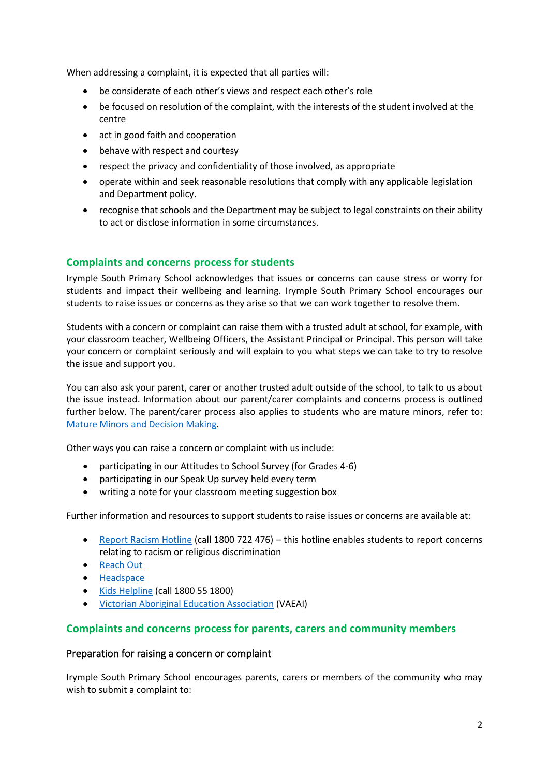When addressing a complaint, it is expected that all parties will:

- be considerate of each other's views and respect each other's role
- be focused on resolution of the complaint, with the interests of the student involved at the centre
- act in good faith and cooperation
- behave with respect and courtesy
- respect the privacy and confidentiality of those involved, as appropriate
- operate within and seek reasonable resolutions that comply with any applicable legislation and Department policy.
- recognise that schools and the Department may be subject to legal constraints on their ability to act or disclose information in some circumstances.

# **Complaints and concerns process for students**

Irymple South Primary School acknowledges that issues or concerns can cause stress or worry for students and impact their wellbeing and learning. Irymple South Primary School encourages our students to raise issues or concerns as they arise so that we can work together to resolve them.

Students with a concern or complaint can raise them with a trusted adult at school, for example, with your classroom teacher, Wellbeing Officers, the Assistant Principal or Principal. This person will take your concern or complaint seriously and will explain to you what steps we can take to try to resolve the issue and support you.

You can also ask your parent, carer or another trusted adult outside of the school, to talk to us about the issue instead. Information about our parent/carer complaints and concerns process is outlined further below. The parent/carer process also applies to students who are mature minors, refer to: [Mature Minors and Decision Making.](https://www2.education.vic.gov.au/pal/mature-minors-and-decision-making/policy)

Other ways you can raise a concern or complaint with us include:

- participating in our Attitudes to School Survey (for Grades 4-6)
- participating in our Speak Up survey held every term
- writing a note for your classroom meeting suggestion box

Further information and resources to support students to raise issues or concerns are available at:

- [Report Racism Hotline](https://www.vic.gov.au/report-racism-or-religious-discrimination-schools) (call 1800 722 476) this hotline enables students to report concerns relating to racism or religious discrimination
- [Reach Out](https://au.reachout.com/?gclid=CjwKCAiAgbiQBhAHEiwAuQ6BktaB5xneGFK3TnOql5c5eZ7af7dDm9ffLZa7N59FEtbtQzVIk8sGWhoC8N0QAvD_BwE)
- [Headspace](https://headspace.org.au/)
- [Kids Helpline](https://kidshelpline.com.au/?gclid=CjwKCAiAgbiQBhAHEiwAuQ6Bkro6UD2EBcRILznFnRhKjfi5I84jJlUa0fyiiYLQ4mHx5sXTStxH8BoCCEIQAvD_BwE) (call 1800 55 1800)
- [Victorian Aboriginal Education Association](https://www.vaeai.org.au/) (VAEAI)

# **Complaints and concerns process for parents, carers and community members**

#### Preparation for raising a concern or complaint

Irymple South Primary School encourages parents, carers or members of the community who may wish to submit a complaint to: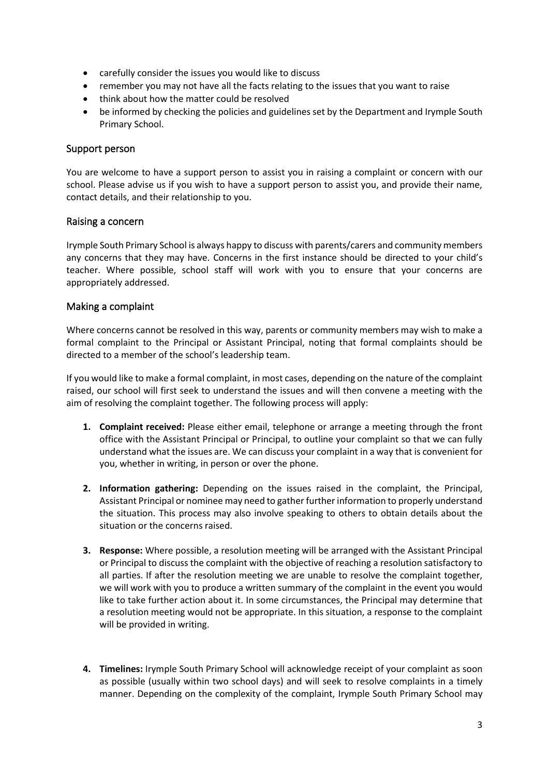- carefully consider the issues you would like to discuss
- remember you may not have all the facts relating to the issues that you want to raise
- think about how the matter could be resolved
- be informed by checking the policies and guidelines set by the Department and Irymple South Primary School.

#### Support person

You are welcome to have a support person to assist you in raising a complaint or concern with our school. Please advise us if you wish to have a support person to assist you, and provide their name, contact details, and their relationship to you.

#### Raising a concern

Irymple South Primary School is always happy to discuss with parents/carers and community members any concerns that they may have. Concerns in the first instance should be directed to your child's teacher. Where possible, school staff will work with you to ensure that your concerns are appropriately addressed.

## Making a complaint

Where concerns cannot be resolved in this way, parents or community members may wish to make a formal complaint to the Principal or Assistant Principal, noting that formal complaints should be directed to a member of the school's leadership team.

If you would like to make a formal complaint, in most cases, depending on the nature of the complaint raised, our school will first seek to understand the issues and will then convene a meeting with the aim of resolving the complaint together. The following process will apply:

- **1. Complaint received:** Please either email, telephone or arrange a meeting through the front office with the Assistant Principal or Principal, to outline your complaint so that we can fully understand what the issues are. We can discuss your complaint in a way that is convenient for you, whether in writing, in person or over the phone.
- **2. Information gathering:** Depending on the issues raised in the complaint, the Principal, Assistant Principal or nominee may need to gather further information to properly understand the situation. This process may also involve speaking to others to obtain details about the situation or the concerns raised.
- **3. Response:** Where possible, a resolution meeting will be arranged with the Assistant Principal or Principal to discuss the complaint with the objective of reaching a resolution satisfactory to all parties. If after the resolution meeting we are unable to resolve the complaint together, we will work with you to produce a written summary of the complaint in the event you would like to take further action about it. In some circumstances, the Principal may determine that a resolution meeting would not be appropriate. In this situation, a response to the complaint will be provided in writing.
- **4. Timelines:** Irymple South Primary School will acknowledge receipt of your complaint as soon as possible (usually within two school days) and will seek to resolve complaints in a timely manner. Depending on the complexity of the complaint, Irymple South Primary School may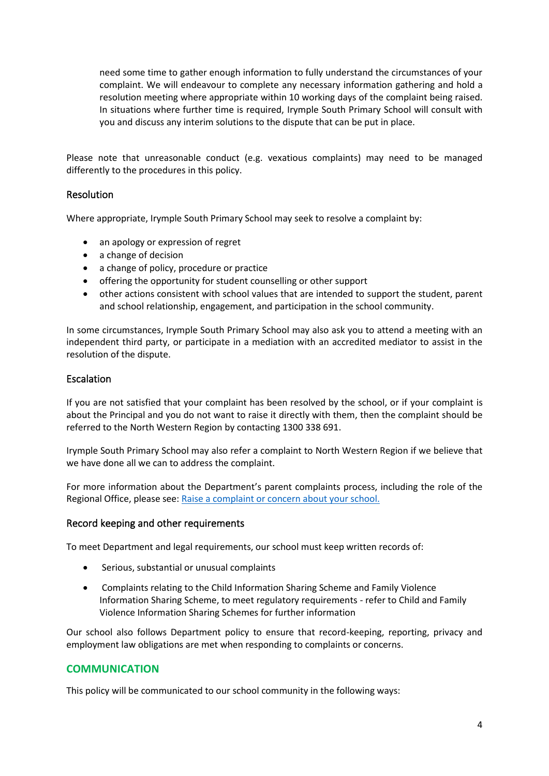need some time to gather enough information to fully understand the circumstances of your complaint. We will endeavour to complete any necessary information gathering and hold a resolution meeting where appropriate within 10 working days of the complaint being raised. In situations where further time is required, Irymple South Primary School will consult with you and discuss any interim solutions to the dispute that can be put in place.

Please note that unreasonable conduct (e.g. vexatious complaints) may need to be managed differently to the procedures in this policy.

## Resolution

Where appropriate, Irymple South Primary School may seek to resolve a complaint by:

- an apology or expression of regret
- a change of decision
- a change of policy, procedure or practice
- offering the opportunity for student counselling or other support
- other actions consistent with school values that are intended to support the student, parent and school relationship, engagement, and participation in the school community.

In some circumstances, Irymple South Primary School may also ask you to attend a meeting with an independent third party, or participate in a mediation with an accredited mediator to assist in the resolution of the dispute.

## **Escalation**

If you are not satisfied that your complaint has been resolved by the school, or if your complaint is about the Principal and you do not want to raise it directly with them, then the complaint should be referred to the North Western Region by contacting 1300 338 691.

Irymple South Primary School may also refer a complaint to North Western Region if we believe that we have done all we can to address the complaint.

For more information about the Department's parent complaints process, including the role of the Regional Office, please see: [Raise a complaint or concern about your school.](https://www.vic.gov.au/raise-complaint-or-concern-about-your-school#speaking-to-your-school)

## Record keeping and other requirements

To meet Department and legal requirements, our school must keep written records of:

- Serious, substantial or unusual complaints
- Complaints relating to the Child Information Sharing Scheme and Family Violence Information Sharing Scheme, to meet regulatory requirements - refer to Child and Family Violence Information Sharing Schemes for further information

Our school also follows Department policy to ensure that record-keeping, reporting, privacy and employment law obligations are met when responding to complaints or concerns.

## **COMMUNICATION**

This policy will be communicated to our school community in the following ways: